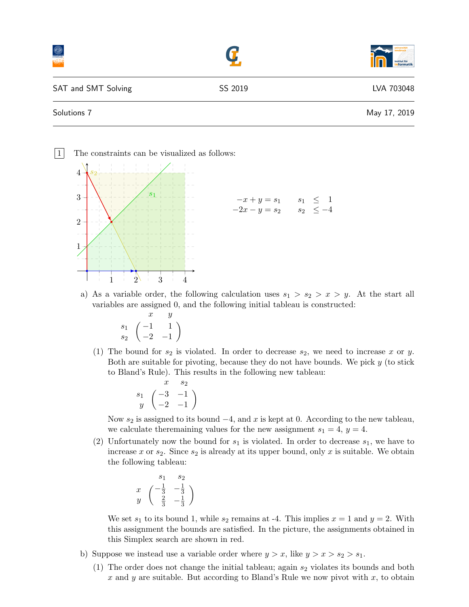|                     |         | institut für<br>informatik |
|---------------------|---------|----------------------------|
| SAT and SMT Solving | SS 2019 | LVA 703048                 |
| Solutions 7         |         | May 17, 2019               |

1 The constraints can be visualized as follows:  $1$   $2$  3 4 1 2 3 4  $\overline{s}_1$  $\overline{s}_2$  $-x + y = s_1$   $s_1 \leq 1$  $-2x - y = s_2$   $s_2 \leq -4$ 

a) As a variable order, the following calculation uses  $s_1 > s_2 > x > y$ . At the start all variables are assigned 0, and the following initial tableau is constructed:

$$
\begin{array}{cc}\n & x & y \\
s_1 & -1 & 1 \\
s_2 & -2 & -1\n\end{array}
$$

(1) The bound for  $s_2$  is violated. In order to decrease  $s_2$ , we need to increase x or y. Both are suitable for pivoting, because they do not have bounds. We pick  $y$  (to stick to Bland's Rule). This results in the following new tableau:

$$
\begin{array}{cc}\n & x & s_2 \\
s_1 & \begin{pmatrix} -3 & -1 \\
-2 & -1 \end{pmatrix}\n\end{array}
$$

Now  $s_2$  is assigned to its bound  $-4$ , and x is kept at 0. According to the new tableau, we calculate theremaining values for the new assignment  $s_1 = 4$ ,  $y = 4$ .

(2) Unfortunately now the bound for  $s_1$  is violated. In order to decrease  $s_1$ , we have to increase x or  $s_2$ . Since  $s_2$  is already at its upper bound, only x is suitable. We obtain the following tableau:

$$
\begin{array}{cc}\n & 81 & 82 \\
x & \left(-\frac{1}{3} & -\frac{1}{3} \\
y & \left(-\frac{2}{3} & -\frac{1}{3}\right)\n\end{array}
$$

We set  $s_1$  to its bound 1, while  $s_2$  remains at -4. This implies  $x = 1$  and  $y = 2$ . With this assignment the bounds are satisfied. In the picture, the assignments obtained in this Simplex search are shown in red.

- b) Suppose we instead use a variable order where  $y > x$ , like  $y > x > s_2 > s_1$ .
	- (1) The order does not change the initial tableau; again  $s_2$  violates its bounds and both x and y are suitable. But according to Bland's Rule we now pivot with  $x$ , to obtain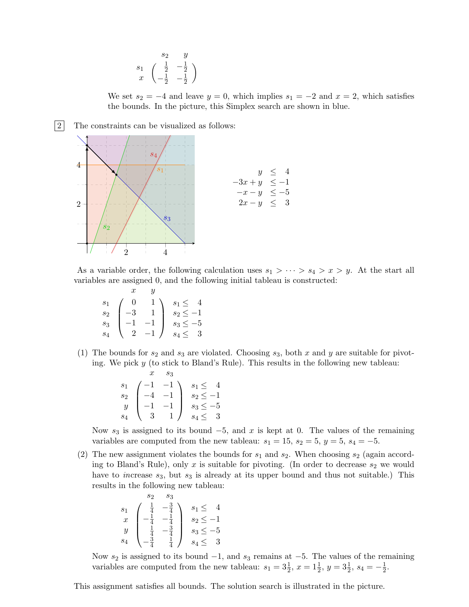$$
\begin{array}{cc}\n & s_2 & y \\
s_1 & \begin{pmatrix} \frac{1}{2} & -\frac{1}{2} \\
-\frac{1}{2} & -\frac{1}{2} \end{pmatrix}\n\end{array}
$$

We set  $s_2 = -4$  and leave  $y = 0$ , which implies  $s_1 = -2$  and  $x = 2$ , which satisfies the bounds. In the picture, this Simplex search are shown in blue.



As a variable order, the following calculation uses  $s_1 > \cdots > s_4 > x > y$ . At the start all variables are assigned 0, and the following initial tableau is constructed:

|                |                | U    |               |
|----------------|----------------|------|---------------|
| S <sub>1</sub> |                |      | $s_1 \leq 4$  |
| $s_2$          | $-3$           |      | $s_2 \leq -1$ |
| $s_3$          |                |      | $s_3 \leq -5$ |
|                | $\overline{2}$ | $-1$ | $s_4 \leq 3$  |

(1) The bounds for  $s_2$  and  $s_3$  are violated. Choosing  $s_3$ , both x and y are suitable for pivoting. We pick  $y$  (to stick to Bland's Rule). This results in the following new tableau:

|                   |            | $s_3$                                         |               |
|-------------------|------------|-----------------------------------------------|---------------|
|                   |            | $s_1$ $\begin{pmatrix} -1 & -1 \end{pmatrix}$ | $s_1 \leq 4$  |
| $\mathcal{S}_{2}$ |            | $-4\quad -1$                                  | $s_2 \leq -1$ |
| $\boldsymbol{y}$  | $-1$ $-1$  |                                               | $s_3 \leq -5$ |
|                   | $\sqrt{3}$ | 1 /                                           | $s_4 \leq 3$  |

Now  $s_3$  is assigned to its bound  $-5$ , and x is kept at 0. The values of the remaining variables are computed from the new tableau:  $s_1 = 15$ ,  $s_2 = 5$ ,  $y = 5$ ,  $s_4 = -5$ .

(2) The new assignment violates the bounds for  $s_1$  and  $s_2$ . When choosing  $s_2$  (again according to Bland's Rule), only x is suitable for pivoting. (In order to decrease  $s_2$  we would have to increase  $s_3$ , but  $s_3$  is already at its upper bound and thus not suitable.) This results in the following new tableau:

$$
\begin{array}{ccc}\ns_2 & s_3 \\
s_1 & \begin{pmatrix} \frac{1}{4} & -\frac{3}{4} \\ -\frac{1}{4} & -\frac{1}{4} \\ \frac{1}{4} & -\frac{3}{4} \\ s_4 & -\frac{3}{4} & \frac{1}{4} \end{pmatrix} & s_1 \leq 4 \\
s_2 \leq -1 \\
s_3 \leq -5 & s_4 \leq 3\n\end{array}
$$

Now  $s_2$  is assigned to its bound  $-1$ , and  $s_3$  remains at  $-5$ . The values of the remaining variables are computed from the new tableau:  $s_1 = 3\frac{1}{2}$ ,  $x = 1\frac{1}{2}$ ,  $y = 3\frac{1}{2}$ ,  $s_4 = -\frac{1}{2}$  $\frac{1}{2}$ .

This assignment satisfies all bounds. The solution search is illustrated in the picture.